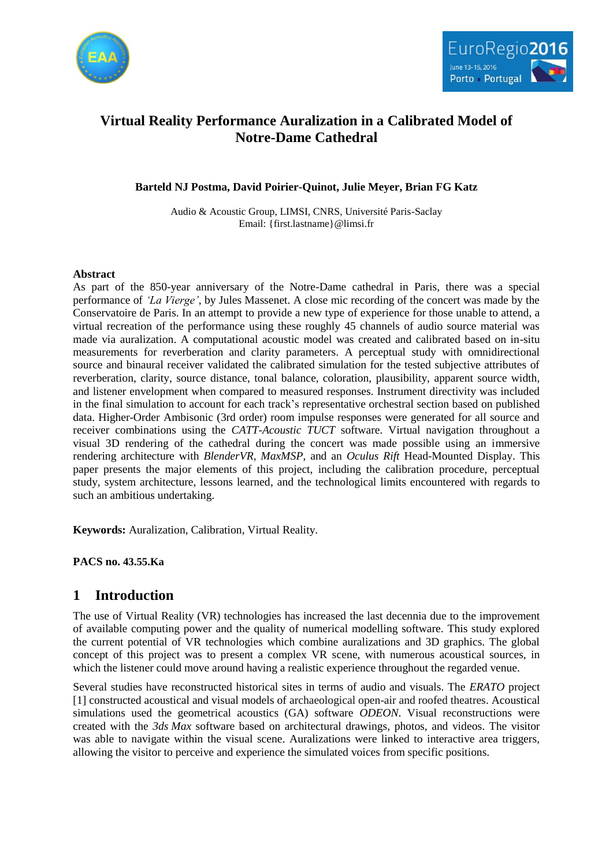



# **Virtual Reality Performance Auralization in a Calibrated Model of Notre-Dame Cathedral**

### **Barteld NJ Postma, David Poirier-Quinot, Julie Meyer, Brian FG Katz**

Audio & Acoustic Group, LIMSI, CNRS, Université Paris-Saclay Email: {first.lastname}@limsi.fr

### **Abstract**

As part of the 850-year anniversary of the Notre-Dame cathedral in Paris, there was a special performance of *'La Vierge'*, by Jules Massenet. A close mic recording of the concert was made by the Conservatoire de Paris. In an attempt to provide a new type of experience for those unable to attend, a virtual recreation of the performance using these roughly 45 channels of audio source material was made via auralization. A computational acoustic model was created and calibrated based on in-situ measurements for reverberation and clarity parameters. A perceptual study with omnidirectional source and binaural receiver validated the calibrated simulation for the tested subjective attributes of reverberation, clarity, source distance, tonal balance, coloration, plausibility, apparent source width, and listener envelopment when compared to measured responses. Instrument directivity was included in the final simulation to account for each track's representative orchestral section based on published data. Higher-Order Ambisonic (3rd order) room impulse responses were generated for all source and receiver combinations using the *CATT-Acoustic TUCT* software. Virtual navigation throughout a visual 3D rendering of the cathedral during the concert was made possible using an immersive rendering architecture with *BlenderVR*, *MaxMSP*, and an *Oculus Rift* Head-Mounted Display. This paper presents the major elements of this project, including the calibration procedure, perceptual study, system architecture, lessons learned, and the technological limits encountered with regards to such an ambitious undertaking.

**Keywords:** Auralization, Calibration, Virtual Reality.

**PACS no. 43.55.Ka**

## **1 Introduction**

The use of Virtual Reality (VR) technologies has increased the last decennia due to the improvement of available computing power and the quality of numerical modelling software. This study explored the current potential of VR technologies which combine auralizations and 3D graphics. The global concept of this project was to present a complex VR scene, with numerous acoustical sources, in which the listener could move around having a realistic experience throughout the regarded venue.

Several studies have reconstructed historical sites in terms of audio and visuals. The *ERATO* project [1] constructed acoustical and visual models of archaeological open-air and roofed theatres. Acoustical simulations used the geometrical acoustics (GA) software *ODEON*. Visual reconstructions were created with the *3ds Max* software based on architectural drawings, photos, and videos. The visitor was able to navigate within the visual scene. Auralizations were linked to interactive area triggers, allowing the visitor to perceive and experience the simulated voices from specific positions.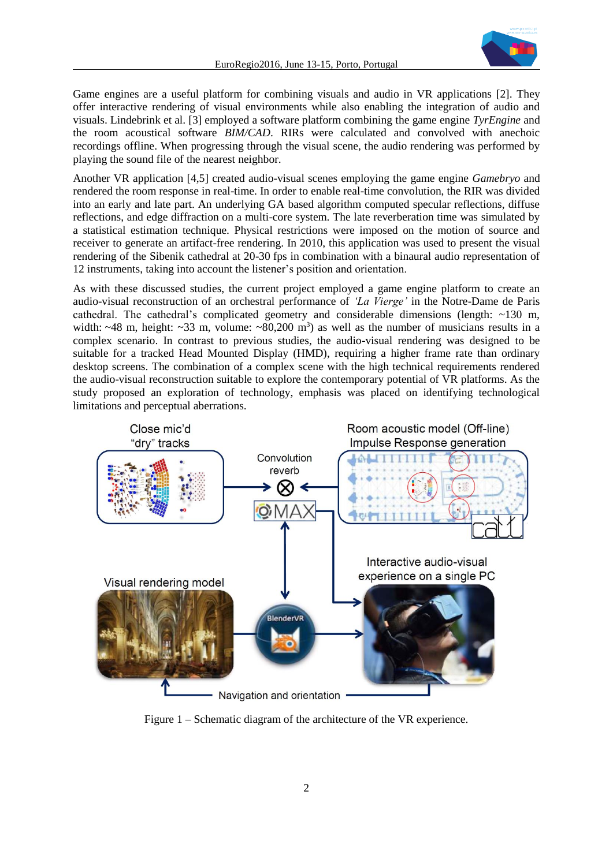

Game engines are a useful platform for combining visuals and audio in VR applications [2]. They offer interactive rendering of visual environments while also enabling the integration of audio and visuals. Lindebrink et al. [3] employed a software platform combining the game engine *TyrEngine* and the room acoustical software *BIM/CAD*. RIRs were calculated and convolved with anechoic recordings offline. When progressing through the visual scene, the audio rendering was performed by playing the sound file of the nearest neighbor.

Another VR application [4,5] created audio-visual scenes employing the game engine *Gamebryo* and rendered the room response in real-time. In order to enable real-time convolution, the RIR was divided into an early and late part. An underlying GA based algorithm computed specular reflections, diffuse reflections, and edge diffraction on a multi-core system. The late reverberation time was simulated by a statistical estimation technique. Physical restrictions were imposed on the motion of source and receiver to generate an artifact-free rendering. In 2010, this application was used to present the visual rendering of the Sibenik cathedral at 20-30 fps in combination with a binaural audio representation of 12 instruments, taking into account the listener's position and orientation.

As with these discussed studies, the current project employed a game engine platform to create an audio-visual reconstruction of an orchestral performance of *'La Vierge'* in the Notre-Dame de Paris cathedral. The cathedral's complicated geometry and considerable dimensions (length:  $\sim$ 130 m, width:  $~48$  m, height:  $~33$  m, volume:  $~80,200$  m<sup>3</sup>) as well as the number of musicians results in a complex scenario. In contrast to previous studies, the audio-visual rendering was designed to be suitable for a tracked Head Mounted Display (HMD), requiring a higher frame rate than ordinary desktop screens. The combination of a complex scene with the high technical requirements rendered the audio-visual reconstruction suitable to explore the contemporary potential of VR platforms. As the study proposed an exploration of technology, emphasis was placed on identifying technological limitations and perceptual aberrations.



Figure 1 – Schematic diagram of the architecture of the VR experience.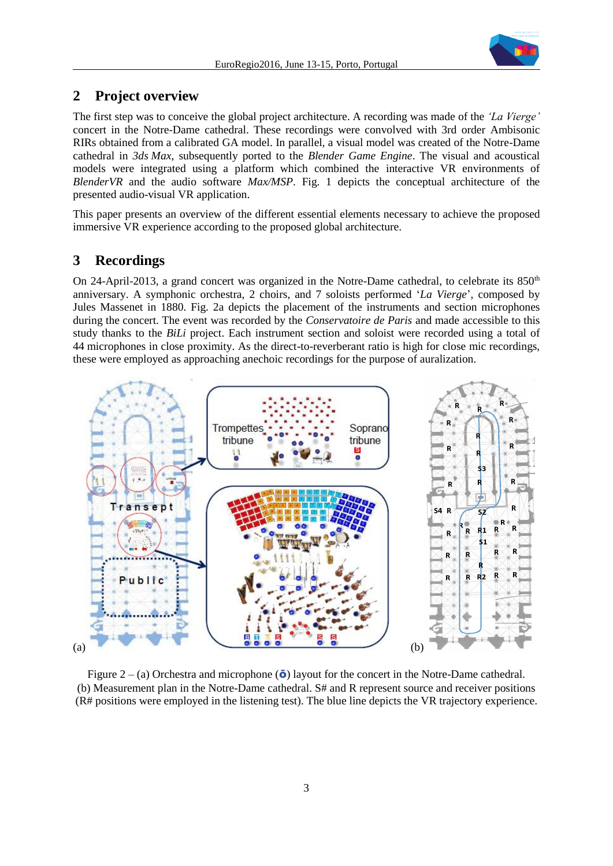

### **2 Project overview**

The first step was to conceive the global project architecture. A recording was made of the *'La Vierge'* concert in the Notre-Dame cathedral. These recordings were convolved with 3rd order Ambisonic RIRs obtained from a calibrated GA model. In parallel, a visual model was created of the Notre-Dame cathedral in *3ds Max*, subsequently ported to the *Blender Game Engine*. The visual and acoustical models were integrated using a platform which combined the interactive VR environments of *[BlenderVR](https://blendervr.limsi.fr/)* and the audio software *Max/MSP*. Fig. 1 depicts the conceptual architecture of the presented audio-visual VR application.

This paper presents an overview of the different essential elements necessary to achieve the proposed immersive VR experience according to the proposed global architecture.

## **3 Recordings**

On 24-April-2013, a grand concert was organized in the Notre-Dame cathedral, to celebrate its  $850<sup>th</sup>$ anniversary. A symphonic orchestra, 2 choirs, and 7 soloists performed '*La Vierge*', composed by Jules Massenet in 1880. Fig. 2a depicts the placement of the instruments and section microphones during the concert. The event was recorded by the *Conservatoire de Paris* and made accessible to this study thanks to the *BiLi* project. Each instrument section and soloist were recorded using a total of 44 microphones in close proximity. As the direct-to-reverberant ratio is high for close mic recordings, these were employed as approaching anechoic recordings for the purpose of auralization.



Figure 2 – (a) Orchestra and microphone  $\overline{\mathbf{0}}$  layout for the concert in the Notre-Dame cathedral. (b) Measurement plan in the Notre-Dame cathedral. S# and R represent source and receiver positions (R# positions were employed in the listening test). The blue line depicts the VR trajectory experience.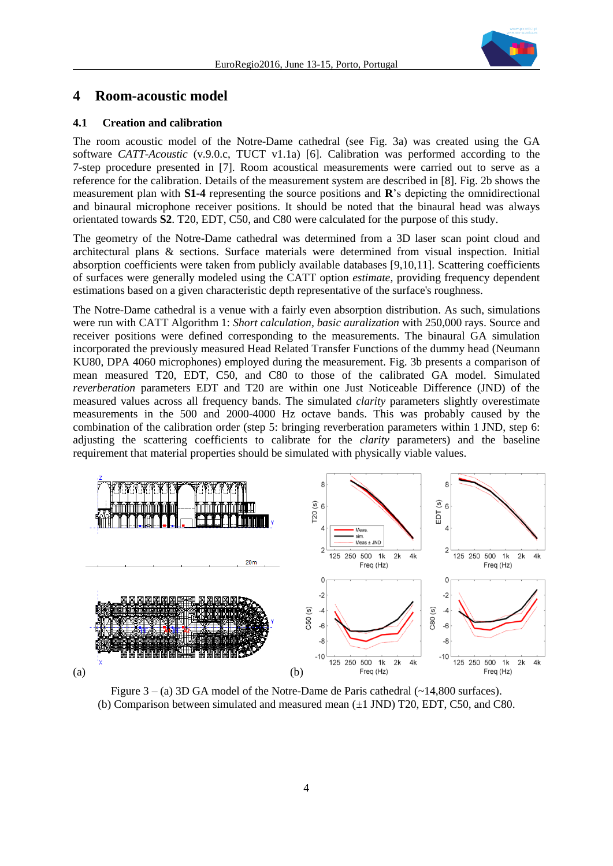

## **4 Room-acoustic model**

#### **4.1 Creation and calibration**

The room acoustic model of the Notre-Dame cathedral (see Fig. 3a) was created using the GA software *CATT-Acoustic* (v.9.0.c, TUCT v1.1a) [6]. Calibration was performed according to the 7-step procedure presented in [7]. Room acoustical measurements were carried out to serve as a reference for the calibration. Details of the measurement system are described in [8]. Fig. 2b shows the measurement plan with **S1-4** representing the source positions and **R**'s depicting the omnidirectional and binaural microphone receiver positions. It should be noted that the binaural head was always orientated towards **S2**. T20, EDT, C50, and C80 were calculated for the purpose of this study.

The geometry of the Notre-Dame cathedral was determined from a 3D laser scan point cloud and architectural plans & sections. Surface materials were determined from visual inspection. Initial absorption coefficients were taken from publicly available databases [9,10,11]. Scattering coefficients of surfaces were generally modeled using the CATT option *estimate*, providing frequency dependent estimations based on a given characteristic depth representative of the surface's roughness.

The Notre-Dame cathedral is a venue with a fairly even absorption distribution. As such, simulations were run with CATT Algorithm 1: *Short calculation, basic auralization* with 250,000 rays. Source and receiver positions were defined corresponding to the measurements. The binaural GA simulation incorporated the previously measured Head Related Transfer Functions of the dummy head (Neumann KU80, DPA 4060 microphones) employed during the measurement. Fig. 3b presents a comparison of mean measured T20, EDT, C50, and C80 to those of the calibrated GA model. Simulated *reverberation* parameters EDT and T20 are within one Just Noticeable Difference (JND) of the measured values across all frequency bands. The simulated *clarity* parameters slightly overestimate measurements in the 500 and 2000-4000 Hz octave bands. This was probably caused by the combination of the calibration order (step 5: bringing reverberation parameters within 1 JND, step 6: adjusting the scattering coefficients to calibrate for the *clarity* parameters) and the baseline requirement that material properties should be simulated with physically viable values.



Figure  $3 - (a)$  3D GA model of the Notre-Dame de Paris cathedral  $(\sim 14,800$  surfaces). (b) Comparison between simulated and measured mean  $(\pm 1 \text{ JND})$  T20, EDT, C50, and C80.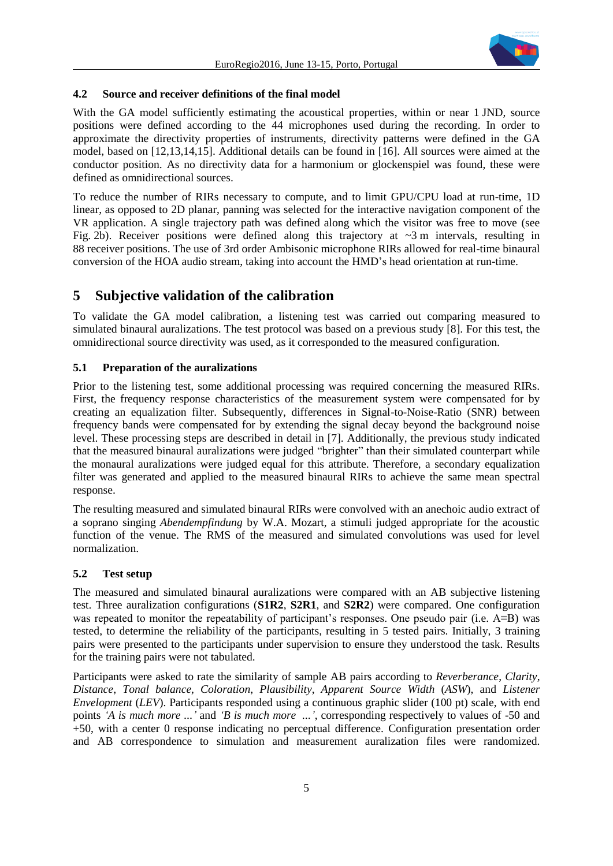

### **4.2 Source and receiver definitions of the final model**

With the GA model sufficiently estimating the acoustical properties, within or near 1 JND, source positions were defined according to the 44 microphones used during the recording. In order to approximate the directivity properties of instruments, directivity patterns were defined in the GA model, based on [12,13,14,15]. Additional details can be found in [16]. All sources were aimed at the conductor position. As no directivity data for a harmonium or glockenspiel was found, these were defined as omnidirectional sources.

To reduce the number of RIRs necessary to compute, and to limit GPU/CPU load at run-time, 1D linear, as opposed to 2D planar, panning was selected for the interactive navigation component of the VR application. A single trajectory path was defined along which the visitor was free to move (see Fig. 2b). Receiver positions were defined along this trajectory at  $\sim$ 3 m intervals, resulting in 88 receiver positions. The use of 3rd order Ambisonic microphone RIRs allowed for real-time binaural conversion of the HOA audio stream, taking into account the HMD's head orientation at run-time.

## **5 Subjective validation of the calibration**

To validate the GA model calibration, a listening test was carried out comparing measured to simulated binaural auralizations. The test protocol was based on a previous study [8]. For this test, the omnidirectional source directivity was used, as it corresponded to the measured configuration.

### **5.1 Preparation of the auralizations**

Prior to the listening test, some additional processing was required concerning the measured RIRs. First, the frequency response characteristics of the measurement system were compensated for by creating an equalization filter. Subsequently, differences in Signal-to-Noise-Ratio (SNR) between frequency bands were compensated for by extending the signal decay beyond the background noise level. These processing steps are described in detail in [7]. Additionally, the previous study indicated that the measured binaural auralizations were judged "brighter" than their simulated counterpart while the monaural auralizations were judged equal for this attribute. Therefore, a secondary equalization filter was generated and applied to the measured binaural RIRs to achieve the same mean spectral response.

The resulting measured and simulated binaural RIRs were convolved with an anechoic audio extract of a soprano singing *Abendempfindung* by W.A. Mozart, a stimuli judged appropriate for the acoustic function of the venue. The RMS of the measured and simulated convolutions was used for level normalization.

### **5.2 Test setup**

The measured and simulated binaural auralizations were compared with an AB subjective listening test. Three auralization configurations (**S1R2**, **S2R1**, and **S2R2**) were compared. One configuration was repeated to monitor the repeatability of participant's responses. One pseudo pair (i.e. A≡B) was tested, to determine the reliability of the participants, resulting in 5 tested pairs. Initially, 3 training pairs were presented to the participants under supervision to ensure they understood the task. Results for the training pairs were not tabulated.

Participants were asked to rate the similarity of sample AB pairs according to *Reverberance*, *Clarity*, *Distance*, *Tonal balance*, *Coloration*, *Plausibility*, *Apparent Source Width* (*ASW*), and *Listener Envelopment* (*LEV*). Participants responded using a continuous graphic slider (100 pt) scale, with end points *'A is much more ...'* and *'B is much more ...'*, corresponding respectively to values of -50 and +50, with a center 0 response indicating no perceptual difference. Configuration presentation order and AB correspondence to simulation and measurement auralization files were randomized.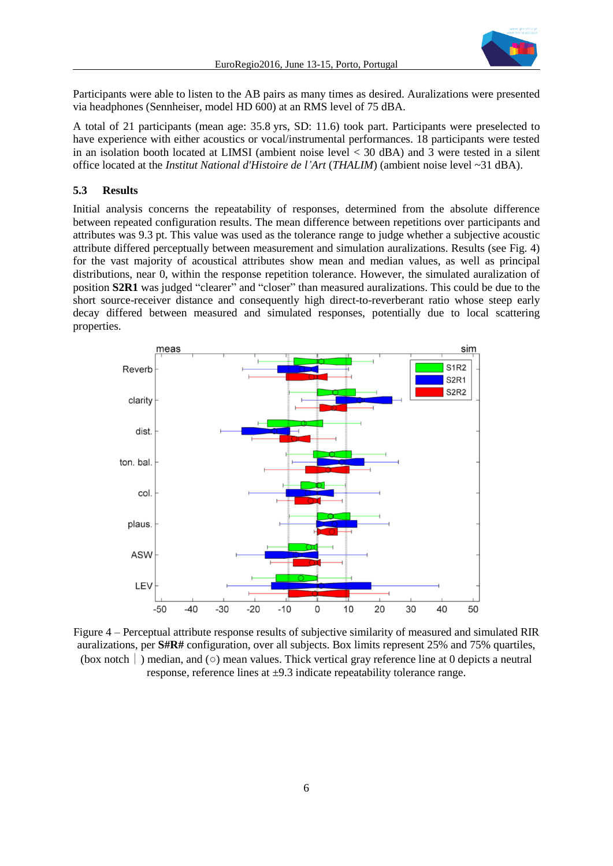

Participants were able to listen to the AB pairs as many times as desired. Auralizations were presented via headphones (Sennheiser, model HD 600) at an RMS level of 75 dBA.

A total of 21 participants (mean age: 35.8 yrs, SD: 11.6) took part. Participants were preselected to have experience with either acoustics or vocal/instrumental performances. 18 participants were tested in an isolation booth located at LIMSI (ambient noise level < 30 dBA) and 3 were tested in a silent office located at the *Institut National d'Histoire de l'Art* (*THALIM*) (ambient noise level ~31 dBA).

#### **5.3 Results**

Initial analysis concerns the repeatability of responses, determined from the absolute difference between repeated configuration results. The mean difference between repetitions over participants and attributes was 9.3 pt. This value was used as the tolerance range to judge whether a subjective acoustic attribute differed perceptually between measurement and simulation auralizations. Results (see Fig. 4) for the vast majority of acoustical attributes show mean and median values, as well as principal distributions, near 0, within the response repetition tolerance. However, the simulated auralization of position **S2R1** was judged "clearer" and "closer" than measured auralizations. This could be due to the short source-receiver distance and consequently high direct-to-reverberant ratio whose steep early decay differed between measured and simulated responses, potentially due to local scattering properties.



Figure 4 – Perceptual attribute response results of subjective similarity of measured and simulated RIR auralizations, per **S#R#** configuration, over all subjects. Box limits represent 25% and 75% quartiles, (box notch ) median, and ( $\circ$ ) mean values. Thick vertical gray reference line at 0 depicts a neutral response, reference lines at  $\pm$ 9.3 indicate repeatability tolerance range.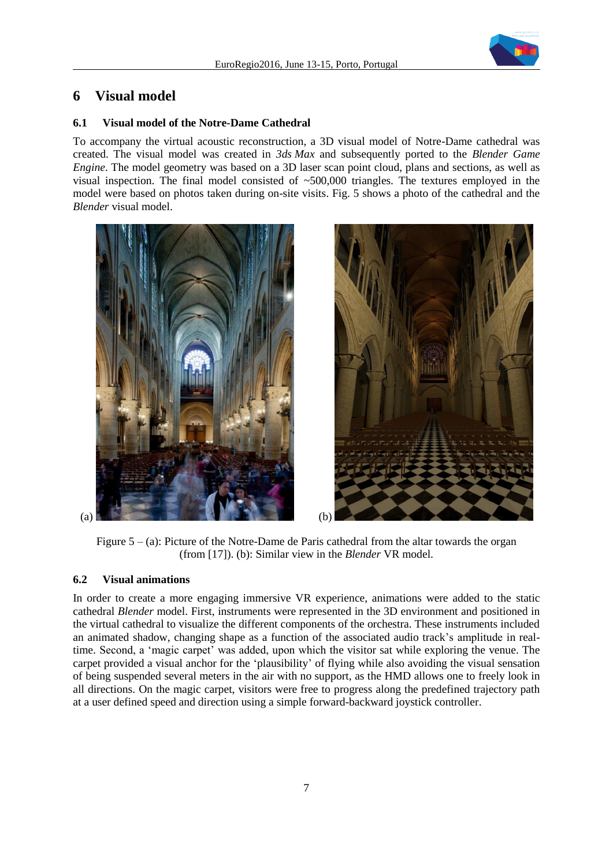

## **6 Visual model**

### **6.1 Visual model of the Notre-Dame Cathedral**

To accompany the virtual acoustic reconstruction, a 3D visual model of Notre-Dame cathedral was created. The visual model was created in *3ds Max* and subsequently ported to the *Blender Game Engine*. The model geometry was based on a 3D laser scan point cloud, plans and sections, as well as visual inspection. The final model consisted of ~500,000 triangles. The textures employed in the model were based on photos taken during on-site visits. Fig. 5 shows a photo of the cathedral and the *Blender* visual model.





Figure  $5 - (a)$ : Picture of the Notre-Dame de Paris cathedral from the altar towards the organ (from [17]). (b): Similar view in the *Blender* VR model.

#### **6.2 Visual animations**

In order to create a more engaging immersive VR experience, animations were added to the static cathedral *Blender* model. First, instruments were represented in the 3D environment and positioned in the virtual cathedral to visualize the different components of the orchestra. These instruments included an animated shadow, changing shape as a function of the associated audio track's amplitude in realtime. Second, a 'magic carpet' was added, upon which the visitor sat while exploring the venue. The carpet provided a visual anchor for the 'plausibility' of flying while also avoiding the visual sensation of being suspended several meters in the air with no support, as the HMD allows one to freely look in all directions. On the magic carpet, visitors were free to progress along the predefined trajectory path at a user defined speed and direction using a simple forward-backward joystick controller.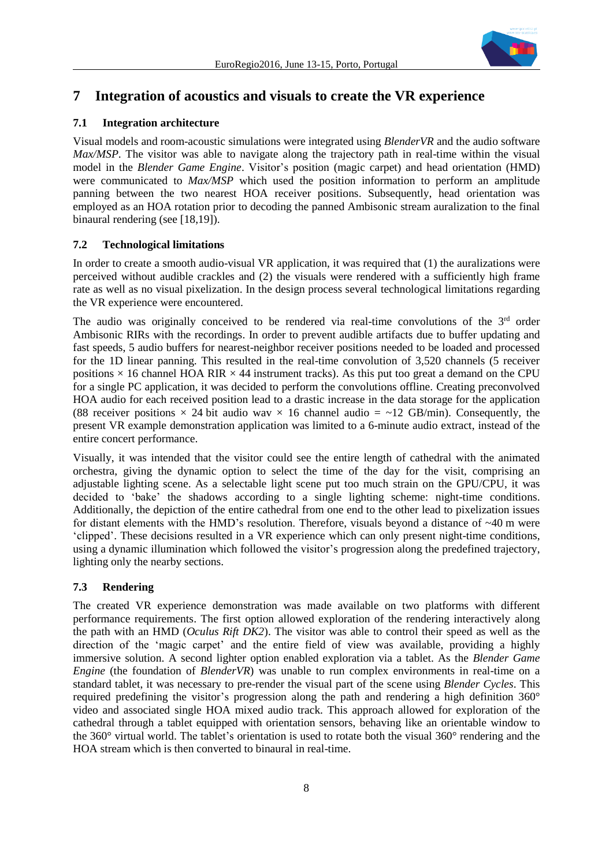

## **7 Integration of acoustics and visuals to create the VR experience**

### **7.1 Integration architecture**

Visual models and room-acoustic simulations were integrated using *[BlenderVR](https://blendervr.limsi.fr/)* and the audio software *Max/MSP*. The visitor was able to navigate along the trajectory path in real-time within the visual model in the *Blender Game Engine*. Visitor's position (magic carpet) and head orientation (HMD) were communicated to *Max/MSP* which used the position information to perform an amplitude panning between the two nearest HOA receiver positions. Subsequently, head orientation was employed as an HOA rotation prior to decoding the panned Ambisonic stream auralization to the final binaural rendering (see [18,19]).

### **7.2 Technological limitations**

In order to create a smooth audio-visual VR application, it was required that (1) the auralizations were perceived without audible crackles and (2) the visuals were rendered with a sufficiently high frame rate as well as no visual pixelization. In the design process several technological limitations regarding the VR experience were encountered.

The audio was originally conceived to be rendered via real-time convolutions of the  $3<sup>rd</sup>$  order Ambisonic RIRs with the recordings. In order to prevent audible artifacts due to buffer updating and fast speeds, 5 audio buffers for nearest-neighbor receiver positions needed to be loaded and processed for the 1D linear panning. This resulted in the real-time convolution of 3,520 channels (5 receiver positions  $\times$  16 channel HOA RIR  $\times$  44 instrument tracks). As this put too great a demand on the CPU for a single PC application, it was decided to perform the convolutions offline. Creating preconvolved HOA audio for each received position lead to a drastic increase in the data storage for the application (88 receiver positions  $\times$  24 bit audio wav  $\times$  16 channel audio = ~12 GB/min). Consequently, the present VR example demonstration application was limited to a 6-minute audio extract, instead of the entire concert performance.

Visually, it was intended that the visitor could see the entire length of cathedral with the animated orchestra, giving the dynamic option to select the time of the day for the visit, comprising an adjustable lighting scene. As a selectable light scene put too much strain on the GPU/CPU, it was decided to 'bake' the shadows according to a single lighting scheme: night-time conditions. Additionally, the depiction of the entire cathedral from one end to the other lead to pixelization issues for distant elements with the HMD's resolution. Therefore, visuals beyond a distance of ~40 m were 'clipped'. These decisions resulted in a VR experience which can only present night-time conditions, using a dynamic illumination which followed the visitor's progression along the predefined trajectory, lighting only the nearby sections.

### **7.3 Rendering**

The created VR experience demonstration was made available on two platforms with different performance requirements. The first option allowed exploration of the rendering interactively along the path with an HMD (*Oculus Rift DK2*). The visitor was able to control their speed as well as the direction of the 'magic carpet' and the entire field of view was available, providing a highly immersive solution. A second lighter option enabled exploration via a tablet. As the *Blender Game Engine* (the foundation of *BlenderVR*) was unable to run complex environments in real-time on a standard tablet, it was necessary to pre-render the visual part of the scene using *Blender Cycles*. This required predefining the visitor's progression along the path and rendering a high definition 360° video and associated single HOA mixed audio track. This approach allowed for exploration of the cathedral through a tablet equipped with orientation sensors, behaving like an orientable window to the 360° virtual world. The tablet's orientation is used to rotate both the visual 360° rendering and the HOA stream which is then converted to binaural in real-time.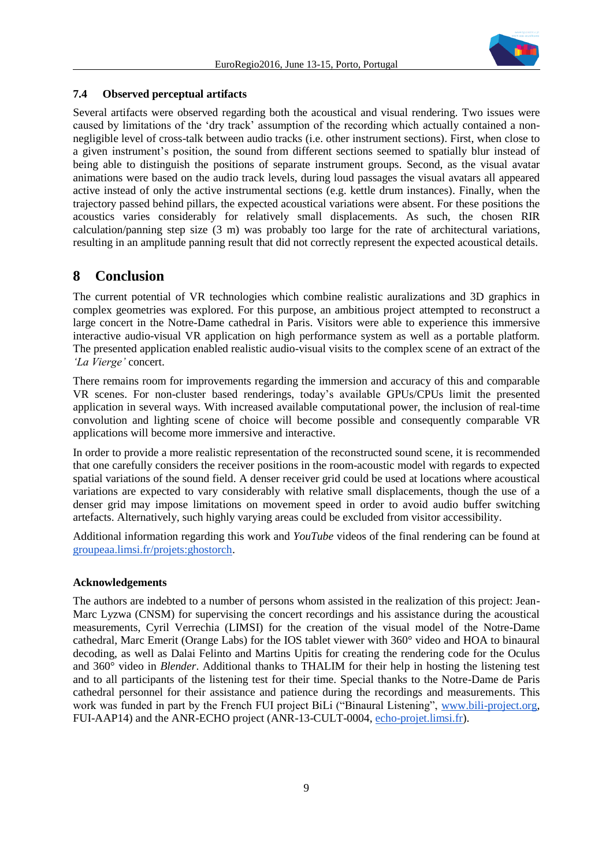

### **7.4 Observed perceptual artifacts**

Several artifacts were observed regarding both the acoustical and visual rendering. Two issues were caused by limitations of the 'dry track' assumption of the recording which actually contained a nonnegligible level of cross-talk between audio tracks (i.e. other instrument sections). First, when close to a given instrument's position, the sound from different sections seemed to spatially blur instead of being able to distinguish the positions of separate instrument groups. Second, as the visual avatar animations were based on the audio track levels, during loud passages the visual avatars all appeared active instead of only the active instrumental sections (e.g. kettle drum instances). Finally, when the trajectory passed behind pillars, the expected acoustical variations were absent. For these positions the acoustics varies considerably for relatively small displacements. As such, the chosen RIR calculation/panning step size (3 m) was probably too large for the rate of architectural variations, resulting in an amplitude panning result that did not correctly represent the expected acoustical details.

## **8 Conclusion**

The current potential of VR technologies which combine realistic auralizations and 3D graphics in complex geometries was explored. For this purpose, an ambitious project attempted to reconstruct a large concert in the Notre-Dame cathedral in Paris. Visitors were able to experience this immersive interactive audio-visual VR application on high performance system as well as a portable platform. The presented application enabled realistic audio-visual visits to the complex scene of an extract of the *'La Vierge'* concert.

There remains room for improvements regarding the immersion and accuracy of this and comparable VR scenes. For non-cluster based renderings, today's available GPUs/CPUs limit the presented application in several ways. With increased available computational power, the inclusion of real-time convolution and lighting scene of choice will become possible and consequently comparable VR applications will become more immersive and interactive.

In order to provide a more realistic representation of the reconstructed sound scene, it is recommended that one carefully considers the receiver positions in the room-acoustic model with regards to expected spatial variations of the sound field. A denser receiver grid could be used at locations where acoustical variations are expected to vary considerably with relative small displacements, though the use of a denser grid may impose limitations on movement speed in order to avoid audio buffer switching artefacts. Alternatively, such highly varying areas could be excluded from visitor accessibility.

Additional information regarding this work and *YouTube* videos of the final rendering can be found at [groupeaa.limsi.fr/projets:ghostorch.](https://groupeaa.limsi.fr/projets:ghostorch)

### **Acknowledgements**

The authors are indebted to a number of persons whom assisted in the realization of this project: Jean-Marc Lyzwa (CNSM) for supervising the concert recordings and his assistance during the acoustical measurements, Cyril Verrechia (LIMSI) for the creation of the visual model of the Notre-Dame cathedral, Marc Emerit (Orange Labs) for the IOS tablet viewer with 360° video and HOA to binaural decoding, as well as Dalai Felinto and Martins Upitis for creating the rendering code for the Oculus and 360° video in *Blender*. Additional thanks to THALIM for their help in hosting the listening test and to all participants of the listening test for their time. Special thanks to the Notre-Dame de Paris cathedral personnel for their assistance and patience during the recordings and measurements. This work was funded in part by the French FUI project BiLi ("Binaural Listening", [www.bili-project.org,](http://www.bili-project.org/) FUI-AAP14) and the ANR-ECHO project (ANR-13-CULT-0004, [echo-projet.limsi.fr\)](http://echo-projet.limsi.fr/).